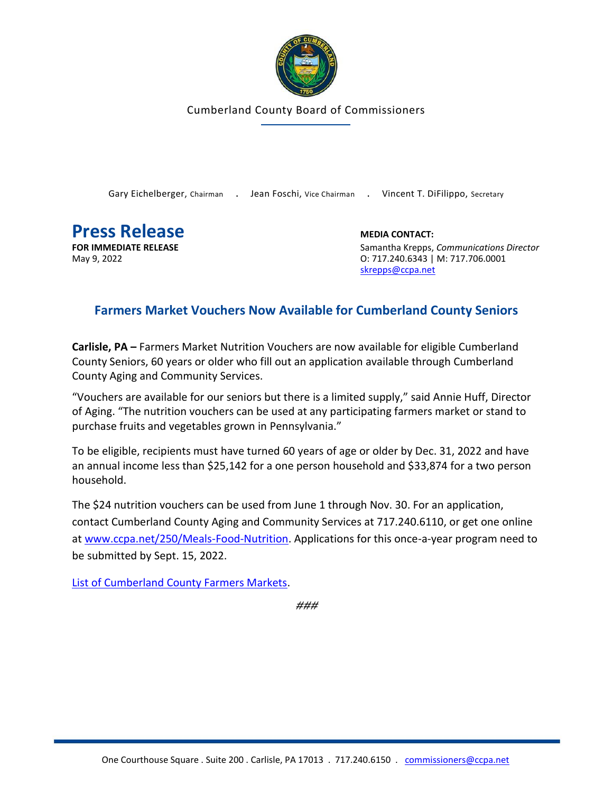

Cumberland County Board of Commissioners

Gary Eichelberger, Chairman . Jean Foschi, Vice Chairman . Vincent T. DiFilippo, Secretary

**Press Release MEDIA CONTACT:**<br> **FOR IMMEDIATE RELEASE MEDIA CONTACT:**<br>
Samantha Krepps.

**FOR IMMEDIATE RELEASE** Samantha Krepps, *Communications Director* May 9, 2022 **CONFIDENTIAL CONSUMER SET A CONSUMING CONSUMING CONSUMING CONSUMING CONSUMING CONSUMING CONSUMING CONSUMING CONSUMING CONSUMING CONSUMING CONSUMING CONSUMING CONSUMING CONSUMING CONSUMING CONSUMING CONSUMING C** [skrepps@ccpa.net](mailto:skrepps@ccpa.net)

## **Farmers Market Vouchers Now Available for Cumberland County Seniors**

**Carlisle, PA –** Farmers Market Nutrition Vouchers are now available for eligible Cumberland County Seniors, 60 years or older who fill out an application available through Cumberland County Aging and Community Services.

"Vouchers are available for our seniors but there is a limited supply," said Annie Huff, Director of Aging. "The nutrition vouchers can be used at any participating farmers market or stand to purchase fruits and vegetables grown in Pennsylvania."

To be eligible, recipients must have turned 60 years of age or older by Dec. 31, 2022 and have an annual income less than \$25,142 for a one person household and \$33,874 for a two person household.

The \$24 nutrition vouchers can be used from June 1 through Nov. 30. For an application, contact Cumberland County Aging and Community Services at 717.240.6110, or get one online at [www.ccpa.net/250/Meals-Food-Nutrition.](www.ccpa.net/250/Meals-Food-Nutrition) Applications for this once-a-year program need to be submitted by Sept. 15, 2022.

[List of Cumberland County Farmers Markets.](https://www.pameals.pa.gov/v6/public/FarmMarketSearch/marketsearch.aspx)

**###**